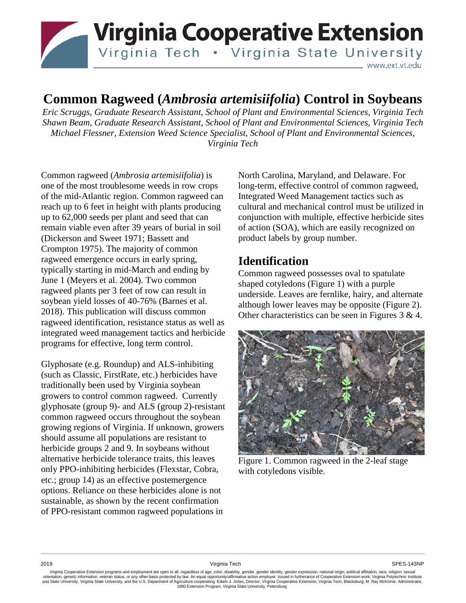

# **Common Ragweed (***Ambrosia artemisiifolia***) Control in Soybeans**

*Eric Scruggs, Graduate Research Assistant, School of Plant and Environmental Sciences, Virginia Tech Shawn Beam, Graduate Research Assistant, School of Plant and Environmental Sciences, Virginia Tech Michael Flessner, Extension Weed Science Specialist, School of Plant and Environmental Sciences, Virginia Tech*

Common ragweed (*Ambrosia artemisiifolia*) is one of the most troublesome weeds in row crops of the mid-Atlantic region. Common ragweed can reach up to 6 feet in height with plants producing up to 62,000 seeds per plant and seed that can remain viable even after 39 years of burial in soil (Dickerson and Sweet 1971; Bassett and Crompton 1975). The majority of common ragweed emergence occurs in early spring, typically starting in mid-March and ending by June 1 (Meyers et al. 2004). Two common ragweed plants per 3 feet of row can result in soybean yield losses of 40-76% (Barnes et al. 2018). This publication will discuss common ragweed identification, resistance status as well as integrated weed management tactics and herbicide programs for effective, long term control.

Glyphosate (e.g. Roundup) and ALS-inhibiting (such as Classic, FirstRate, etc.) herbicides have traditionally been used by Virginia soybean growers to control common ragweed. Currently glyphosate (group 9)- and ALS (group 2)-resistant common ragweed occurs throughout the soybean growing regions of Virginia. If unknown, growers should assume all populations are resistant to herbicide groups 2 and 9. In soybeans without alternative herbicide tolerance traits, this leaves only PPO-inhibiting herbicides (Flexstar, Cobra, etc.; group 14) as an effective postemergence options. Reliance on these herbicides alone is not sustainable, as shown by the recent confirmation of PPO-resistant common ragweed populations in

North Carolina, Maryland, and Delaware. For long-term, effective control of common ragweed, Integrated Weed Management tactics such as cultural and mechanical control must be utilized in conjunction with multiple, effective herbicide sites of action (SOA), which are easily recognized on product labels by group number.

## **Identification**

Common ragweed possesses oval to spatulate shaped cotyledons (Figure 1) with a purple underside. Leaves are fernlike, hairy, and alternate although lower leaves may be opposite (Figure 2). Other characteristics can be seen in Figures 3 & 4.



Figure 1. Common ragweed in the 2-leaf stage with cotyledons visible.

Virginia Cooperative Extension programs and employment are open to all, regardless of age, color, disability, gender, gender identity, gender expression, national origin, political affiliation, race, religion, sexual orientation, genetic information, veteran status, or any other basis protected by law. An equal opportunity/affirmative action employer. Issued in furtherance of Cooperative Extension work, Virginia Polytechnic Institute<br>a 1890 Extension Program, Virginia State University, Petersburg.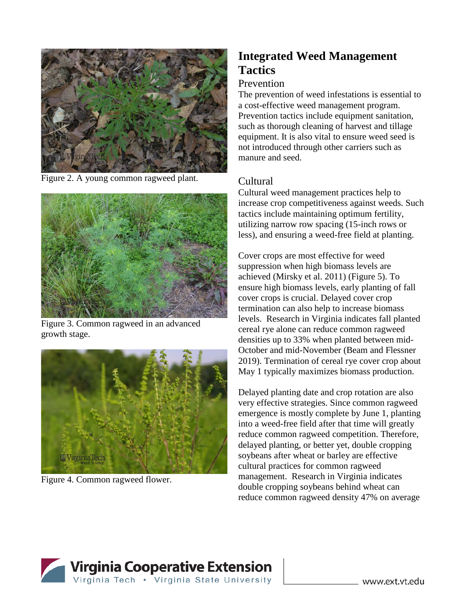

Figure 2. A young common ragweed plant.



Figure 3. Common ragweed in an advanced growth stage.



Figure 4. Common ragweed flower.

# **Integrated Weed Management Tactics**

#### Prevention

The prevention of weed infestations is essential to a cost-effective weed management program. Prevention tactics include equipment sanitation, such as thorough cleaning of harvest and tillage equipment. It is also vital to ensure weed seed is not introduced through other carriers such as manure and seed.

## Cultural

Cultural weed management practices help to increase crop competitiveness against weeds. Such tactics include maintaining optimum fertility, utilizing narrow row spacing (15-inch rows or less), and ensuring a weed-free field at planting.

Cover crops are most effective for weed suppression when high biomass levels are achieved (Mirsky et al. 2011) (Figure 5). To ensure high biomass levels, early planting of fall cover crops is crucial. Delayed cover crop termination can also help to increase biomass levels. Research in Virginia indicates fall planted cereal rye alone can reduce common ragweed densities up to 33% when planted between mid-October and mid-November (Beam and Flessner 2019). Termination of cereal rye cover crop about May 1 typically maximizes biomass production.

Delayed planting date and crop rotation are also very effective strategies. Since common ragweed emergence is mostly complete by June 1, planting into a weed-free field after that time will greatly reduce common ragweed competition. Therefore, delayed planting, or better yet, double cropping soybeans after wheat or barley are effective cultural practices for common ragweed management. Research in Virginia indicates double cropping soybeans behind wheat can reduce common ragweed density 47% on average

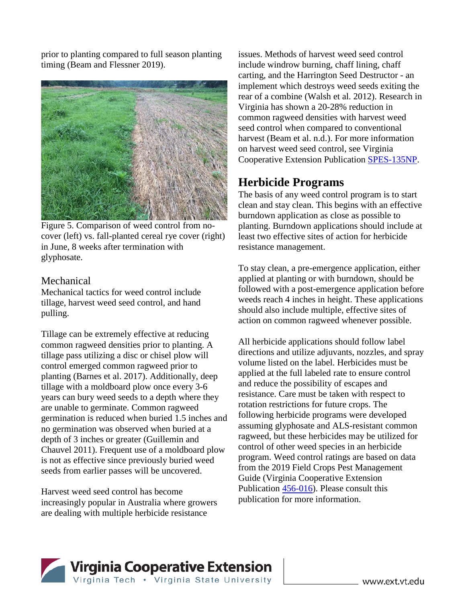prior to planting compared to full season planting timing (Beam and Flessner 2019).



Figure 5. Comparison of weed control from nocover (left) vs. fall-planted cereal rye cover (right) in June, 8 weeks after termination with glyphosate.

#### Mechanical

Mechanical tactics for weed control include tillage, harvest weed seed control, and hand pulling.

Tillage can be extremely effective at reducing common ragweed densities prior to planting. A tillage pass utilizing a disc or chisel plow will control emerged common ragweed prior to planting (Barnes et al. 2017). Additionally, deep tillage with a moldboard plow once every 3-6 years can bury weed seeds to a depth where they are unable to germinate. Common ragweed germination is reduced when buried 1.5 inches and no germination was observed when buried at a depth of 3 inches or greater (Guillemin and Chauvel 2011). Frequent use of a moldboard plow is not as effective since previously buried weed seeds from earlier passes will be uncovered.

Harvest weed seed control has become increasingly popular in Australia where growers are dealing with multiple herbicide resistance

issues. Methods of harvest weed seed control include windrow burning, chaff lining, chaff carting, and the Harrington Seed Destructor - an implement which destroys weed seeds exiting the rear of a combine (Walsh et al. 2012). Research in Virginia has shown a 20-28% reduction in common ragweed densities with harvest weed seed control when compared to conventional harvest (Beam et al. n.d.). For more information on harvest weed seed control, see Virginia Cooperative Extension Publication SPES-135NP.

## **Herbicide Programs**

The basis of any weed control program is to start clean and stay clean. This begins with an effective burndown application as close as possible to planting. Burndown applications should include at least two effective sites of action for herbicide resistance management.

To stay clean, a pre-emergence application, either applied at planting or with burndown, should be followed with a post-emergence application before weeds reach 4 inches in height. These applications should also include multiple, effective sites of action on common ragweed whenever possible.

All herbicide applications should follow label directions and utilize adjuvants, nozzles, and spray volume listed on the label. Herbicides must be applied at the full labeled rate to ensure control and reduce the possibility of escapes and resistance. Care must be taken with respect to rotation restrictions for future crops. The following herbicide programs were developed assuming glyphosate and ALS-resistant common ragweed, but these herbicides may be utilized for control of other weed species in an herbicide program. Weed control ratings are based on data from the 2019 Field Crops Pest Management Guide (Virginia Cooperative Extension Publication 456-016). Please consult this publication for more information.

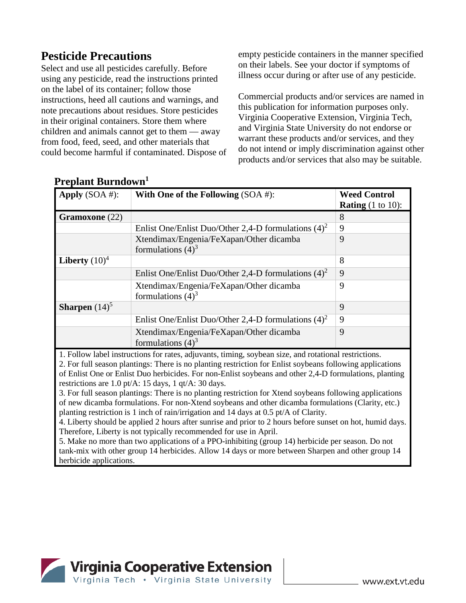# **Pesticide Precautions**

Select and use all pesticides carefully. Before using any pesticide, read the instructions printed on the label of its container; follow those instructions, heed all cautions and warnings, and note precautions about residues. Store pesticides in their original containers. Store them where children and animals cannot get to them — away from food, feed, seed, and other materials that could become harmful if contaminated. Dispose of empty pesticide containers in the manner specified on their labels. See your doctor if symptoms of illness occur during or after use of any pesticide.

Commercial products and/or services are named in this publication for information purposes only. Virginia Cooperative Extension, Virginia Tech, and Virginia State University do not endorse or warrant these products and/or services, and they do not intend or imply discrimination against other products and/or services that also may be suitable.

| Apply $(SOA \#):$       | With One of the Following $(SOA \#)$ :                          | <b>Weed Control</b><br><b>Rating</b> $(1 \text{ to } 10)$ : |
|-------------------------|-----------------------------------------------------------------|-------------------------------------------------------------|
| <b>Gramoxone</b> (22)   |                                                                 | 8                                                           |
|                         | Enlist One/Enlist Duo/Other 2,4-D formulations $(4)^2$          | 9                                                           |
|                         | Xtendimax/Engenia/FeXapan/Other dicamba<br>formulations $(4)^3$ | 9                                                           |
| Liberty $(10)^4$        |                                                                 | 8                                                           |
|                         | Enlist One/Enlist Duo/Other 2,4-D formulations $(4)^2$          | 9                                                           |
|                         | Xtendimax/Engenia/FeXapan/Other dicamba<br>formulations $(4)^3$ | 9                                                           |
| <b>Sharpen</b> $(14)^5$ |                                                                 | 9                                                           |
|                         | Enlist One/Enlist Duo/Other 2,4-D formulations $(4)^2$          | 9                                                           |
|                         | Xtendimax/Engenia/FeXapan/Other dicamba<br>formulations $(4)^3$ | 9                                                           |

## **Preplant Burndown1**

1. Follow label instructions for rates, adjuvants, timing, soybean size, and rotational restrictions.

2. For full season plantings: There is no planting restriction for Enlist soybeans following applications of Enlist One or Enlist Duo herbicides. For non-Enlist soybeans and other 2,4-D formulations, planting restrictions are 1.0 pt/A: 15 days, 1 qt/A: 30 days.

3. For full season plantings: There is no planting restriction for Xtend soybeans following applications of new dicamba formulations. For non-Xtend soybeans and other dicamba formulations (Clarity, etc.) planting restriction is 1 inch of rain/irrigation and 14 days at 0.5 pt/A of Clarity.

4. Liberty should be applied 2 hours after sunrise and prior to 2 hours before sunset on hot, humid days. Therefore, Liberty is not typically recommended for use in April.

5. Make no more than two applications of a PPO-inhibiting (group 14) herbicide per season. Do not tank-mix with other group 14 herbicides. Allow 14 days or more between Sharpen and other group 14 herbicide applications.

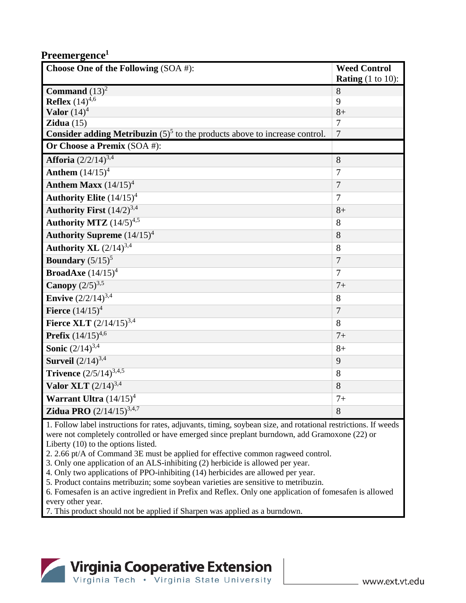#### **Preemergence1**

| Choose One of the Following (SOA #):                                                 | <b>Weed Control</b>                  |
|--------------------------------------------------------------------------------------|--------------------------------------|
|                                                                                      | <b>Rating</b> $(1 \text{ to } 10)$ : |
| Command $(13)^2$                                                                     | 8                                    |
| <b>Reflex</b> $(14)^{4,6}$                                                           | 9                                    |
| Valor $(14)^4$                                                                       | $8+$                                 |
| Zidua $(15)$                                                                         | $\overline{7}$                       |
| <b>Consider adding Metribuzin</b> $(5)^5$ to the products above to increase control. | $\overline{7}$                       |
| Or Choose a Premix (SOA #):                                                          |                                      |
| <b>Afforia</b> $(2/2/14)^{3,4}$                                                      | 8                                    |
| <b>Anthem</b> $(14/15)^4$                                                            | 7                                    |
| <b>Anthem Maxx</b> $(14/15)^4$                                                       | $\overline{7}$                       |
| Authority Elite $(14/15)^4$                                                          | $\overline{7}$                       |
| Authority First $(14/2)^{3,4}$                                                       | $8+$                                 |
| Authority MTZ $(14/5)^{4,5}$                                                         | 8                                    |
| <b>Authority Supreme</b> $(14/15)^4$                                                 | 8                                    |
| Authority XL $(2/14)^{3,4}$                                                          | 8                                    |
| Boundary $(5/15)^5$                                                                  | $\overline{7}$                       |
| <b>BroadAxe</b> $(14/15)^4$                                                          | $\overline{7}$                       |
| <b>Canopy</b> $(2/5)^{3,5}$                                                          | $7+$                                 |
| <b>Envive</b> $(2/2/14)^{3,4}$                                                       | 8                                    |
| <b>Fierce</b> $(14/15)^4$                                                            | $\overline{7}$                       |
| Fierce XLT $(2/\overline{14/15})^{3,4}$                                              | 8                                    |
| <b>Prefix</b> $(14/15)^{4,6}$                                                        | $7+$                                 |
| <b>Sonic</b> $(2/14)^{3,4}$                                                          | $8+$                                 |
| <b>Surveil</b> $(2/14)^{3,4}$                                                        | 9                                    |
| Trivence $(2/5/14)^{3,4,5}$                                                          | 8                                    |
| Valor XLT $(2/14)^{3,4}$                                                             | 8                                    |
| Warrant Ultra $(14/15)^4$                                                            | $7+$                                 |
| <b>Zidua PRO</b> $(2/14/15)^{3,4,7}$                                                 | 8                                    |

1. Follow label instructions for rates, adjuvants, timing, soybean size, and rotational restrictions. If weeds were not completely controlled or have emerged since preplant burndown, add Gramoxone (22) or Liberty (10) to the options listed.

2. 2.66 pt/A of Command 3E must be applied for effective common ragweed control.

3. Only one application of an ALS-inhibiting (2) herbicide is allowed per year.

4. Only two applications of PPO-inhibiting (14) herbicides are allowed per year.

5. Product contains metribuzin; some soybean varieties are sensitive to metribuzin.

6. Fomesafen is an active ingredient in Prefix and Reflex. Only one application of fomesafen is allowed every other year.

7. This product should not be applied if Sharpen was applied as a burndown.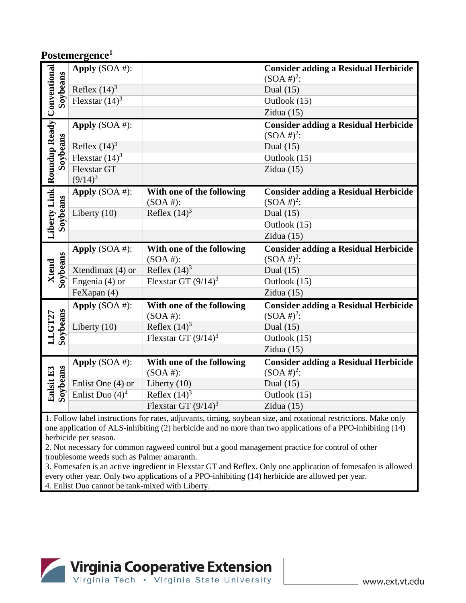#### **Postemergence1**

| Liberty Link Roundup Ready Conventional<br>Soybeans | Apply (SOA #):     |                           | <b>Consider adding a Residual Herbicide</b> |
|-----------------------------------------------------|--------------------|---------------------------|---------------------------------------------|
|                                                     |                    |                           | $(SOA #)^2$ :                               |
|                                                     | Reflex $(14)^3$    |                           | Dual $(15)$                                 |
|                                                     | Flexstar $(14)^3$  |                           | Outlook (15)                                |
|                                                     |                    |                           | Zidua $(15)$                                |
|                                                     | Apply $(SOA \#)$ : |                           | <b>Consider adding a Residual Herbicide</b> |
|                                                     |                    |                           | $(SOA #)^2$ :                               |
|                                                     | Reflex $(14)^3$    |                           | Dual $(15)$                                 |
| Soybeans                                            | Flexstar $(14)^3$  |                           | Outlook (15)                                |
|                                                     | Flexstar GT        |                           | Zidua $(15)$                                |
|                                                     | $(9/14)^3$         |                           |                                             |
|                                                     | Apply $(SOA \#)$ : | With one of the following | <b>Consider adding a Residual Herbicide</b> |
|                                                     |                    | $(SOA \#):$               | $(SOA #)^2$ :                               |
|                                                     | Liberty $(10)$     | Reflex $(14)^3$           | Dual $(15)$                                 |
| Soybeans                                            |                    |                           | Outlook (15)                                |
|                                                     |                    |                           | Zidua $(15)$                                |
|                                                     | Apply $(SOA \#)$ : | With one of the following | <b>Consider adding a Residual Herbicide</b> |
|                                                     |                    | $(SOA$ #):                | $(SOA #)^2$ :                               |
|                                                     | Xtendimax $(4)$ or | Reflex $(14)^3$           | Dual $(15)$                                 |
|                                                     |                    |                           |                                             |
| Soybeans<br>Xtend                                   | Engenia (4) or     | Flexstar GT $(9/14)^3$    | Outlook (15)                                |
|                                                     | FeXapan (4)        |                           | Zidua $(15)$                                |
|                                                     | Apply $(SOA \#):$  | With one of the following | <b>Consider adding a Residual Herbicide</b> |
|                                                     |                    | $(SOA \#):$               | $(SOA #)^2$ :                               |
|                                                     | Liberty $(10)$     | Reflex $(14)^3$           | Dual $(15)$                                 |
|                                                     |                    | Flexstar GT $(9/14)^3$    | Outlook (15)                                |
| Soybeans<br>LLGT27                                  |                    |                           | Zidua $(15)$                                |
|                                                     | Apply $(SOA \#)$ : | With one of the following | <b>Consider adding a Residual Herbicide</b> |
|                                                     |                    | $(SOA \#):$               | $(SOA #)^2$ :                               |
|                                                     | Enlist One (4) or  | Liberty $(10)$            | Dual $(15)$                                 |
| Soybeans<br>Enlsit E3                               | Enlist Duo $(4)^4$ | Reflex $(14)^3$           | Outlook (15)                                |

1. Follow label instructions for rates, adjuvants, timing, soybean size, and rotational restrictions. Make only one application of ALS-inhibiting (2) herbicide and no more than two applications of a PPO-inhibiting (14) herbicide per season.

2. Not necessary for common ragweed control but a good management practice for control of other troublesome weeds such as Palmer amaranth.

3. Fomesafen is an active ingredient in Flexstar GT and Reflex. Only one application of fomesafen is allowed every other year. Only two applications of a PPO-inhibiting (14) herbicide are allowed per year.

4. Enlist Duo cannot be tank-mixed with Liberty.